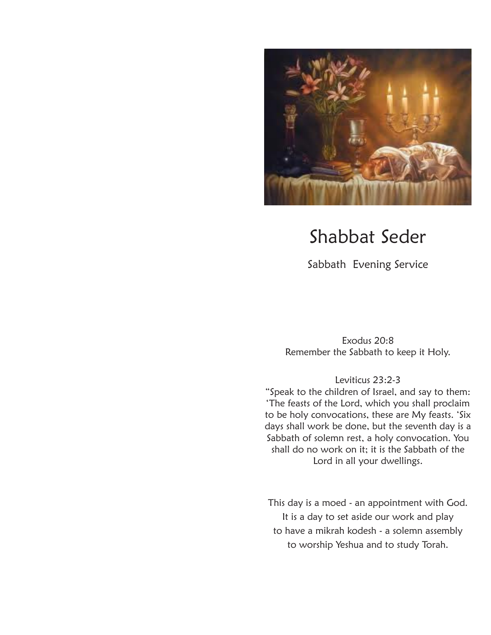

# Shabbat Seder

Sabbath Evening Service

Exodus 20:8 Remember the Sabbath to keep it Holy.

Leviticus 23:2-3

"Speak to the children of Israel, and say to them: 'The feasts of the Lord, which you shall proclaim to be holy convocations, these are My feasts. 'Six days shall work be done, but the seventh day is a Sabbath of solemn rest, a holy convocation. You shall do no work on it; it is the Sabbath of the Lord in all your dwellings.

This day is a moed - an appointment with God. It is a day to set aside our work and play to have a mikrah kodesh - a solemn assembly to worship Yeshua and to study Torah.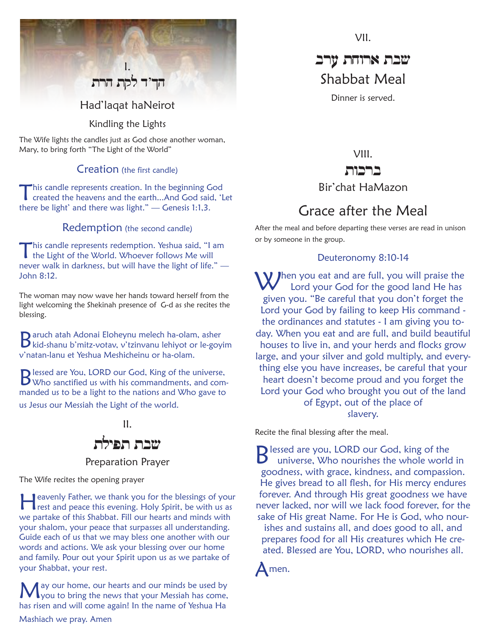# I. Had'laqat haNeirot הד'ד לקת הרת

Kindling the Lights

The Wife lights the candles just as God chose another woman, Mary, to bring forth "The Light of the World"

#### Creation (the first candle)

This candle represents creation. In the beginning God created the heavens and the earth...And God said, 'Let there be light' and there was light." — Genesis 1:1,3.

#### Redemption (the second candle)

This candle represents redemption. Yeshua said, "I am the Light of the World. Whoever follows Me will never walk in darkness, but will have the light of life." — John 8:12.

The woman may now wave her hands toward herself from the light welcoming the Shekinah presence of G-d as she recites the blessing.

Baruch atah Adonai Eloheynu melech ha-olam, asher kid-shanu b'mitz-votav, v'tzinvanu lehiyot or le-goyim v'natan-lanu et Yeshua Meshicheinu or ha-olam.

Blessed are You, LORD our God, King of the universe, Who sanctified us with his commandments, and commanded us to be a light to the nations and Who gave to us Jesus our Messiah the Light of the world.



Preparation Prayer

The Wife recites the opening prayer

**Heavenly Father, we thank you for the blessings of your rest and peace this evening. Holy Spirit, be with us as** we partake of this Shabbat. Fill our hearts and minds with your shalom, your peace that surpasses all understanding. Guide each of us that we may bless one another with our words and actions. We ask your blessing over our home and family. Pour out your Spirit upon us as we partake of your Shabbat, your rest.

May our home, our hearts and our minds be used by you to bring the news that your Messiah has come, has risen and will come again! In the name of Yeshua Ha Mashiach we pray. Amen

VII.

# שבת ארוחת ערב Shabbat Meal

Dinner is served.

VIII. ברכות

# Bir'chat HaMazon

# Grace after the Meal

After the meal and before departing these verses are read in unison or by someone in the group.

#### Deuteronomy 8:10-14

 $\bf W$  *J*hen you eat and are full, you will praise the Lord your God for the good land He has given you. "Be careful that you don't forget the Lord your God by failing to keep His command the ordinances and statutes - I am giving you today. When you eat and are full, and build beautiful houses to live in, and your herds and flocks grow large, and your silver and gold multiply, and everything else you have increases, be careful that your heart doesn't become proud and you forget the Lord your God who brought you out of the land of Egypt, out of the place of slavery.

Recite the final blessing after the meal.

**B** lessed are you, LORD our God, king of the<br>B universe Who nourishes the whole work universe, Who nourishes the whole world in goodness, with grace, kindness, and compassion. He gives bread to all flesh, for His mercy endures forever. And through His great goodness we have never lacked, nor will we lack food forever, for the sake of His great Name. For He is God, who nourishes and sustains all, and does good to all, and prepares food for all His creatures which He created. Blessed are You, LORD, who nourishes all.

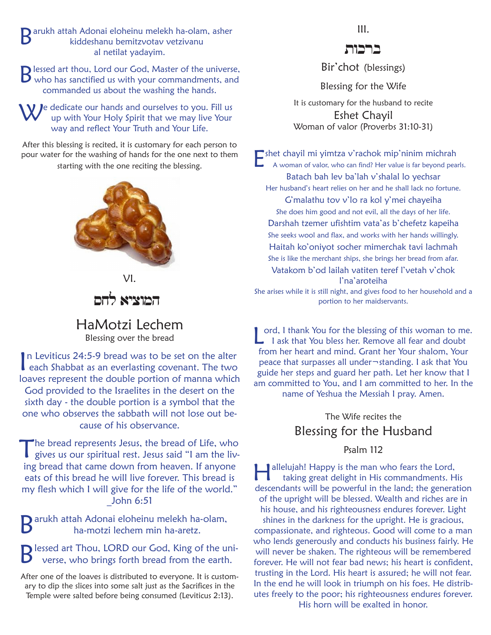Exparukh attah Adonai eloheinu melekh ha-olam, asher<br>Kiddeshanu bemitzvotav vetzivanu<br>Al petilat vadavim kiddeshanu bemitzvotav vetzivanu al netilat yadayim.

Blessed art thou, Lord our God, Master of the universe, who has sanctified us with your commandments, and commanded us about the washing the hands.

le dedicate our hands and ourselves to you. Fill us up with Your Holy Spirit that we may live Your way and reflect Your Truth and Your Life.

After this blessing is recited, it is customary for each person to pour water for the washing of hands for the one next to them starting with the one reciting the blessing.





HaMotzi Lechem Blessing over the bread

In Leviticus 24:5-9 bread was to be set on the alter<br>
each Shabbat as an everlasting covenant. The two In Leviticus 24:5-9 bread was to be set on the alter loaves represent the double portion of manna which God provided to the Israelites in the desert on the sixth day - the double portion is a symbol that the one who observes the sabbath will not lose out because of his observance.

The bread represents Jesus, the bread of Life, who gives us our spiritual rest. Jesus said "I am the living bread that came down from heaven. If anyone eats of this bread he will live forever. This bread is my flesh which I will give for the life of the world." \_John 6:51

arukh attah Adonai eloheinu melekh ha-olam, ha-motzi lechem min ha-aretz.

Blessed art Thou, LORD our God, King of the uni-<br>Bluesse who brings failth that is a state of the universe, who brings forth bread from the earth.

After one of the loaves is distributed to everyone. It is customary to dip the slices into some salt just as the Sacrifices in the Temple were salted before being consumed (Leviticus 2:13).

III.

Bir'chot (blessings)

Blessing for the Wife

It is customary for the husband to recite Eshet Chayil Woman of valor (Proverbs 31:10-31)

Eshet chayil mi yimtza v'rachok mip'ninim michrah A woman of valor, who can find? Her value is far beyond pearls. Batach bah lev ba'lah v'shalal lo yechsar Her husband's heart relies on her and he shall lack no fortune. G'malathu tov v'lo ra kol y'mei chayeiha She does him good and not evil, all the days of her life. Darshah tzemer ufishtim vata'as b'chefetz kapeiha She seeks wool and flax, and works with her hands willingly. Haitah ko'oniyot socher mimerchak tavi lachmah She is like the merchant ships, she brings her bread from afar. Vatakom b'od lailah vatiten teref l'vetah v'chok l'na'aroteiha She arises while it is still night, and gives food to her household and a portion to her maidservants.

ord, I thank You for the blessing of this woman to me.  $\Box$  I ask that You bless her. Remove all fear and doubt from her heart and mind. Grant her Your shalom, Your peace that surpasses all under¬standing. I ask that You guide her steps and guard her path. Let her know that I am committed to You, and I am committed to her. In the name of Yeshua the Messiah I pray. Amen.

# The Wife recites the Blessing for the Husband

Psalm 112

allelujah! Happy is the man who fears the Lord, taking great delight in His commandments. His descendants will be powerful in the land; the generation of the upright will be blessed. Wealth and riches are in his house, and his righteousness endures forever. Light shines in the darkness for the upright. He is gracious, compassionate, and righteous. Good will come to a man who lends generously and conducts his business fairly. He will never be shaken. The righteous will be remembered forever. He will not fear bad news; his heart is confident, trusting in the Lord. His heart is assured; he will not fear. In the end he will look in triumph on his foes. He distributes freely to the poor; his righteousness endures forever. His horn will be exalted in honor.